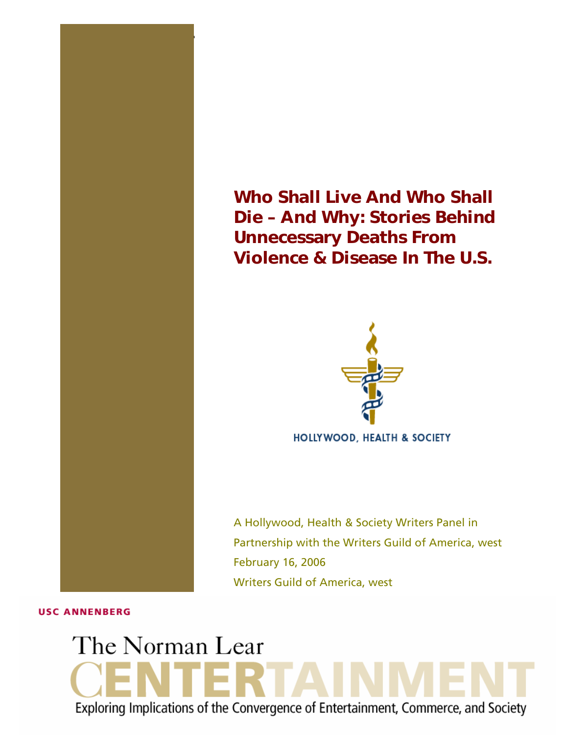

1 THE NORMAN LEAR CENTER **Who Shall Live And Who Shall Die – And Why**



**HOLLYWOOD, HEALTH & SOCIETY** 

A Hollywood, Health & Society Writers Panel in Partnership with the Writers Guild of America, west February 16, 2006 Writers Guild of America, west

#### **USC ANNENBERG**

# The Norman Lear Exploring Implications of the Convergence of Entertainment, Commerce, and Society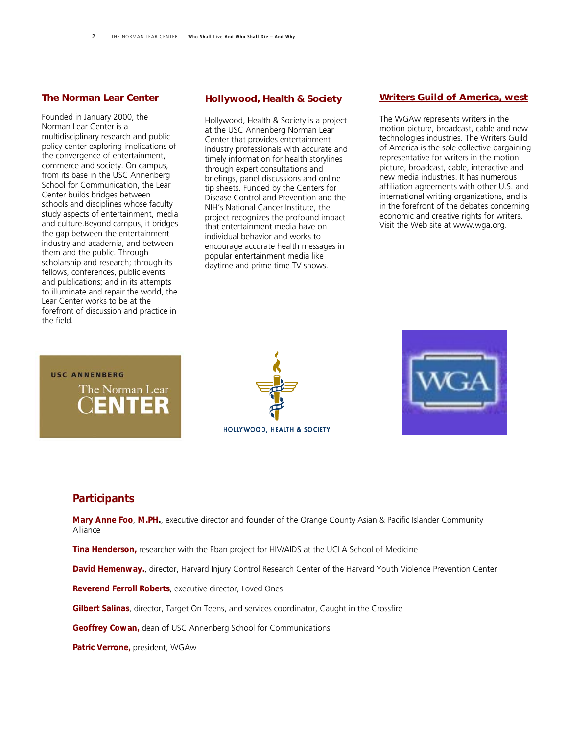#### *[The Norman Lear Center](http://www.learcenter.org/)*

Founded in January 2000, the Norman Lear Center is a multidisciplinary research and public policy center exploring implications of the convergence of entertainment, commerce and society. On campus, from its base in the USC Annenberg School for Communication, the Lear Center builds bridges between schools and disciplines whose faculty study aspects of entertainment, media and culture.Beyond campus, it bridges the gap between the entertainment industry and academia, and between them and the public. Through scholarship and research; through its fellows, conferences, public events and publications; and in its attempts to illuminate and repair the world, the Lear Center works to be at the forefront of discussion and practice in the field.

#### *[Hollywood, Health & Society](http://www.usc.edu/hhs)*

Hollywood, Health & Society is a project at the USC Annenberg Norman Lear Center that provides entertainment industry professionals with accurate and timely information for health storylines through expert consultations and briefings, panel discussions and online tip sheets. Funded by the Centers for Disease Control and Prevention and the NIH's National Cancer Institute, the project recognizes the profound impact that entertainment media have on individual behavior and works to encourage accurate health messages in popular entertainment media like daytime and prime time TV shows.

#### *[Writers Guild of America, west](http://www.wga.org/)*

The WGAw represents writers in the motion picture, broadcast, cable and new technologies industries. The Writers Guild of America is the sole collective bargaining representative for writers in the motion picture, broadcast, cable, interactive and new media industries. It has numerous affiliation agreements with other U.S. and international writing organizations, and is in the forefront of the debates concerning economic and creative rights for writers. Visit the Web site at www.wga.org.

# **USC ANNENBERG** The Norman Lear **ENTER**

# HOLLYWOOD, HEALTH & SOCIETY



#### *Participants*

*Mary Anne Foo*, *M.PH.*, executive director and founder of the Orange County Asian & Pacific Islander Community Alliance

*Tina Henderson,* researcher with the Eban project for HIV/AIDS at the UCLA School of Medicine

*David Hemenway.*, director, Harvard Injury Control Research Center of the Harvard Youth Violence Prevention Center

*Reverend Ferroll Roberts*, executive director, Loved Ones

*Gilbert Salinas*, director, Target On Teens, and services coordinator, Caught in the Crossfire

*Geoffrey Cowan,* dean of USC Annenberg School for Communications

*Patric Verrone,* president, WGAw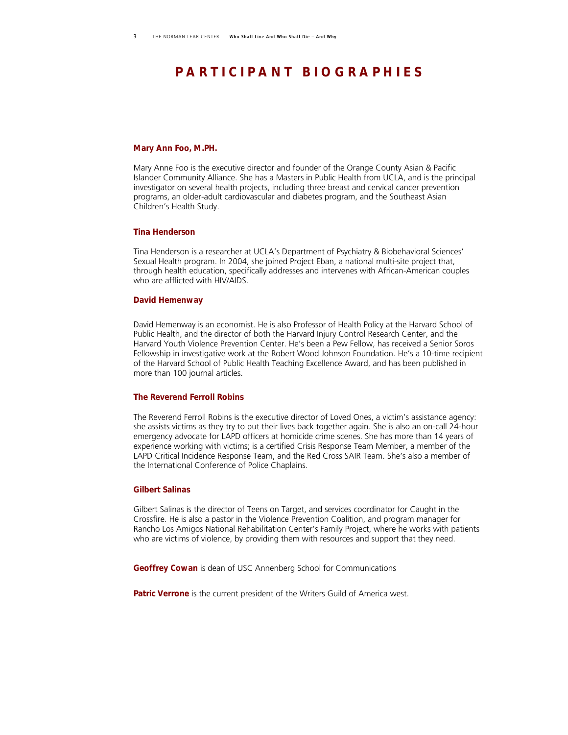## *P A R T I C I P A N T B I O G R A P H I E S*

#### *Mary Ann Foo, M.PH.*

Mary Anne Foo is the executive director and founder of the Orange County Asian & Pacific Islander Community Alliance. She has a Masters in Public Health from UCLA, and is the principal investigator on several health projects, including three breast and cervical cancer prevention programs, an older-adult cardiovascular and diabetes program, and the Southeast Asian Children's Health Study.

#### *Tina Henderson*

Tina Henderson is a researcher at UCLA's Department of Psychiatry & Biobehavioral Sciences' Sexual Health program. In 2004, she joined Project Eban, a national multi-site project that, through health education, specifically addresses and intervenes with African-American couples who are afflicted with HIV/AIDS.

#### *David Hemenway*

David Hemenway is an economist. He is also Professor of Health Policy at the Harvard School of Public Health, and the director of both the Harvard Injury Control Research Center, and the Harvard Youth Violence Prevention Center. He's been a Pew Fellow, has received a Senior Soros Fellowship in investigative work at the Robert Wood Johnson Foundation. He's a 10-time recipient of the Harvard School of Public Health Teaching Excellence Award, and has been published in more than 100 journal articles.

#### *The Reverend Ferroll Robins*

The Reverend Ferroll Robins is the executive director of Loved Ones, a victim's assistance agency: she assists victims as they try to put their lives back together again. She is also an on-call 24-hour emergency advocate for LAPD officers at homicide crime scenes. She has more than 14 years of experience working with victims; is a certified Crisis Response Team Member, a member of the LAPD Critical Incidence Response Team, and the Red Cross SAIR Team. She's also a member of the International Conference of Police Chaplains.

#### *Gilbert Salinas*

Gilbert Salinas is the director of Teens on Target, and services coordinator for Caught in the Crossfire. He is also a pastor in the Violence Prevention Coalition, and program manager for Rancho Los Amigos National Rehabilitation Center's Family Project, where he works with patients who are victims of violence, by providing them with resources and support that they need.

*Geoffrey Cowan* is dean of USC Annenberg School for Communications

**Patric Verrone** is the current president of the Writers Guild of America west.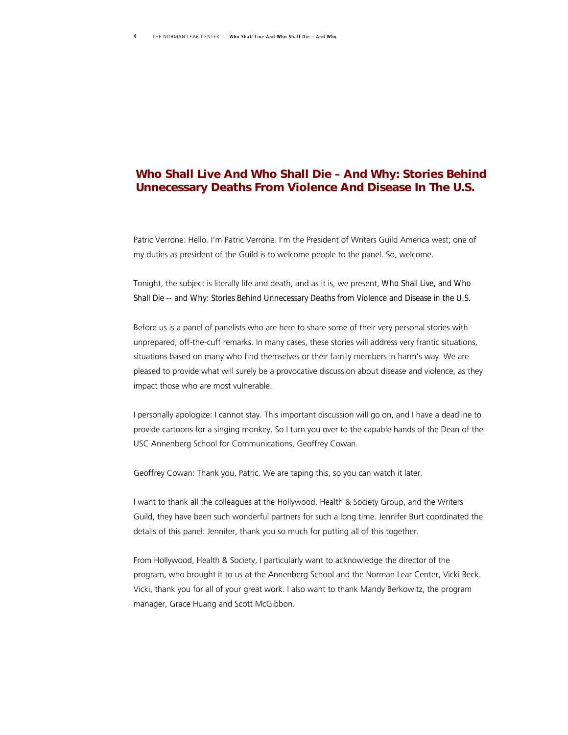### *Who Shall Live And Who Shall Die – And Why: Stories Behind Unnecessary Deaths From Violence And Disease In The U.S.*

Patric Verrone: Hello. I'm Patric Verrone. I'm the President of Writers Guild America west; one of my duties as president of the Guild is to welcome people to the panel. So, welcome.

Tonight, the subject is literally life and death, and as it is, we present, *Who Shall Live, and Who Shall Die -- and Why: Stories Behind Unnecessary Deaths from Violence and Disease in the U.S.* 

Before us is a panel of panelists who are here to share some of their very personal stories with unprepared, off-the-cuff remarks. In many cases, these stories will address very frantic situations, situations based on many who find themselves or their family members in harm's way. We are pleased to provide what will surely be a provocative discussion about disease and violence, as they impact those who are most vulnerable.

I personally apologize: I cannot stay. This important discussion will go on, and I have a deadline to provide cartoons for a singing monkey. So I turn you over to the capable hands of the Dean of the USC Annenberg School for Communications, Geoffrey Cowan.

Geoffrey Cowan: Thank you, Patric. We are taping this, so you can watch it later.

I want to thank all the colleagues at the Hollywood, Health & Society Group, and the Writers Guild, they have been such wonderful partners for such a long time. Jennifer Burt coordinated the details of this panel: Jennifer, thank you so much for putting all of this together.

From Hollywood, Health & Society, I particularly want to acknowledge the director of the program, who brought it to us at the Annenberg School and the Norman Lear Center, Vicki Beck. Vicki, thank you for all of your great work. I also want to thank Mandy Berkowitz, the program manager, Grace Huang and Scott McGibbon.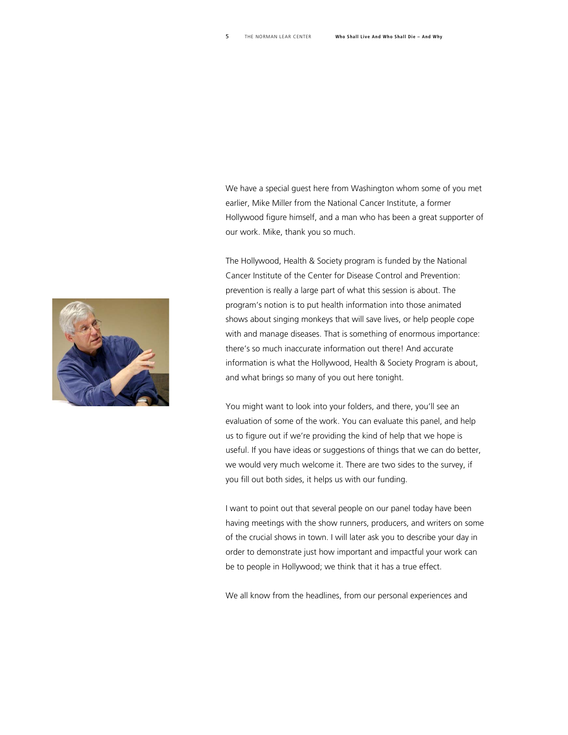We have a special guest here from Washington whom some of you met earlier, Mike Miller from the National Cancer Institute, a former Hollywood figure himself, and a man who has been a great supporter of our work. Mike, thank you so much.

The Hollywood, Health & Society program is funded by the National Cancer Institute of the Center for Disease Control and Prevention: prevention is really a large part of what this session is about. The program's notion is to put health information into those animated shows about singing monkeys that will save lives, or help people cope with and manage diseases. That is something of enormous importance: there's so much inaccurate information out there! And accurate information is what the Hollywood, Health & Society Program is about, and what brings so many of you out here tonight.

You might want to look into your folders, and there, you'll see an evaluation of some of the work. You can evaluate this panel, and help us to figure out if we're providing the kind of help that we hope is useful. If you have ideas or suggestions of things that we can do better, we would very much welcome it. There are two sides to the survey, if you fill out both sides, it helps us with our funding.

I want to point out that several people on our panel today have been having meetings with the show runners, producers, and writers on some of the crucial shows in town. I will later ask you to describe your day in order to demonstrate just how important and impactful your work can be to people in Hollywood; we think that it has a true effect.

We all know from the headlines, from our personal experiences and

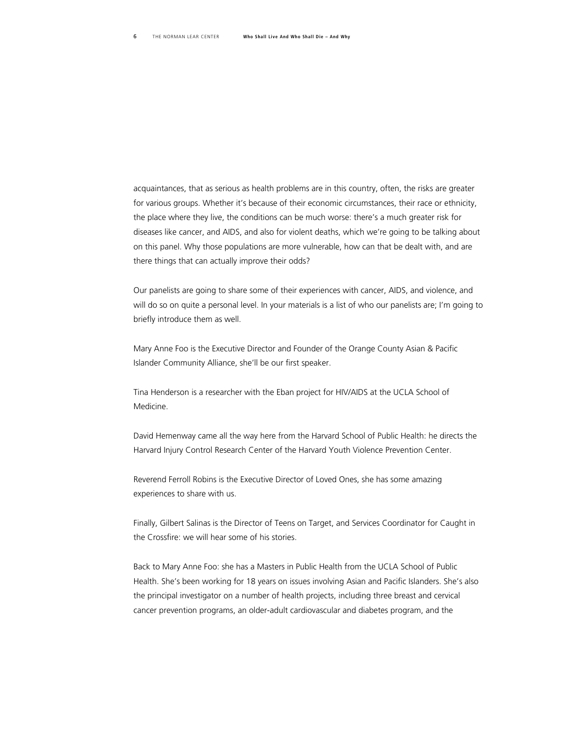acquaintances, that as serious as health problems are in this country, often, the risks are greater for various groups. Whether it's because of their economic circumstances, their race or ethnicity, the place where they live, the conditions can be much worse: there's a much greater risk for diseases like cancer, and AIDS, and also for violent deaths, which we're going to be talking about on this panel. Why those populations are more vulnerable, how can that be dealt with, and are there things that can actually improve their odds?

Our panelists are going to share some of their experiences with cancer, AIDS, and violence, and will do so on quite a personal level. In your materials is a list of who our panelists are; I'm going to briefly introduce them as well.

Mary Anne Foo is the Executive Director and Founder of the Orange County Asian & Pacific Islander Community Alliance, she'll be our first speaker.

Tina Henderson is a researcher with the Eban project for HIV/AIDS at the UCLA School of Medicine.

David Hemenway came all the way here from the Harvard School of Public Health: he directs the Harvard Injury Control Research Center of the Harvard Youth Violence Prevention Center.

Reverend Ferroll Robins is the Executive Director of Loved Ones, she has some amazing experiences to share with us.

Finally, Gilbert Salinas is the Director of Teens on Target, and Services Coordinator for Caught in the Crossfire: we will hear some of his stories.

Back to Mary Anne Foo: she has a Masters in Public Health from the UCLA School of Public Health. She's been working for 18 years on issues involving Asian and Pacific Islanders. She's also the principal investigator on a number of health projects, including three breast and cervical cancer prevention programs, an older-adult cardiovascular and diabetes program, and the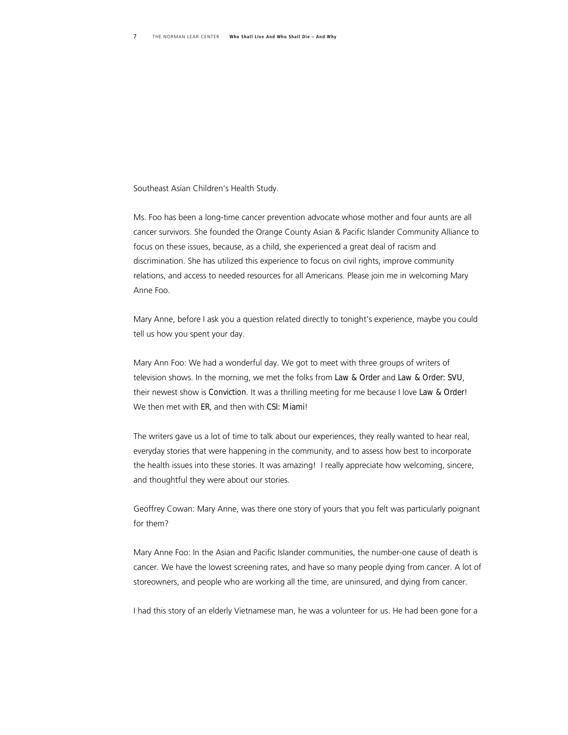Southeast Asian Children's Health Study.

Ms. Foo has been a long-time cancer prevention advocate whose mother and four aunts are all cancer survivors. She founded the Orange County Asian & Pacific Islander Community Alliance to focus on these issues, because, as a child, she experienced a great deal of racism and discrimination. She has utilized this experience to focus on civil rights, improve community relations, and access to needed resources for all Americans. Please join me in welcoming Mary Anne Foo.

Mary Anne, before I ask you a question related directly to tonight's experience, maybe you could tell us how you spent your day.

Mary Ann Foo: We had a wonderful day. We got to meet with three groups of writers of television shows. In the morning, we met the folks from *Law & Order* and *Law & Order: SVU*, their newest show is *Conviction*. It was a thrilling meeting for me because I love *Law & Order*! We then met with *ER*, and then with *CSI: Miami*!

The writers gave us a lot of time to talk about our experiences, they really wanted to hear real, everyday stories that were happening in the community, and to assess how best to incorporate the health issues into these stories. It was amazing! I really appreciate how welcoming, sincere, and thoughtful they were about our stories.

Geoffrey Cowan: Mary Anne, was there one story of yours that you felt was particularly poignant for them?

Mary Anne Foo: In the Asian and Pacific Islander communities, the number-one cause of death is cancer. We have the lowest screening rates, and have so many people dying from cancer. A lot of storeowners, and people who are working all the time, are uninsured, and dying from cancer.

I had this story of an elderly Vietnamese man, he was a volunteer for us. He had been gone for a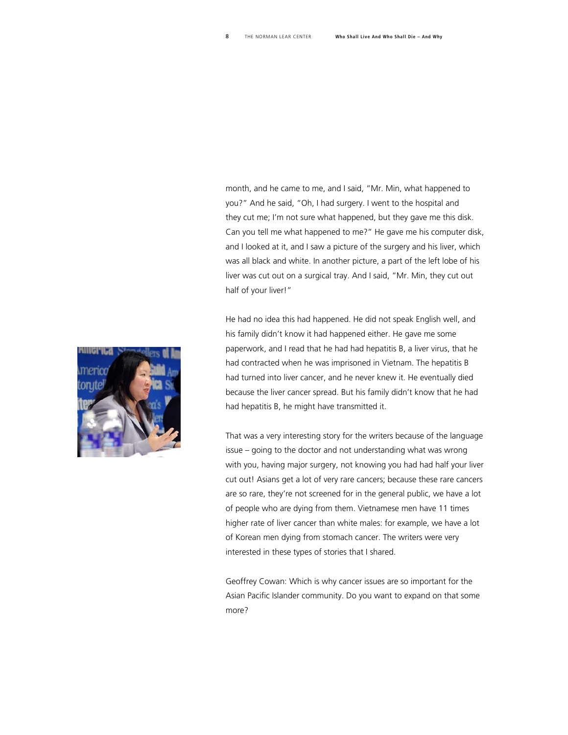month, and he came to me, and I said, "Mr. Min, what happened to you?" And he said, "Oh, I had surgery. I went to the hospital and they cut me; I'm not sure what happened, but they gave me this disk. Can you tell me what happened to me?" He gave me his computer disk, and I looked at it, and I saw a picture of the surgery and his liver, which was all black and white. In another picture, a part of the left lobe of his liver was cut out on a surgical tray. And I said, "Mr. Min, they cut out half of your liver!"

He had no idea this had happened. He did not speak English well, and his family didn't know it had happened either. He gave me some paperwork, and I read that he had had hepatitis B, a liver virus, that he had contracted when he was imprisoned in Vietnam. The hepatitis B had turned into liver cancer, and he never knew it. He eventually died because the liver cancer spread. But his family didn't know that he had had hepatitis B, he might have transmitted it.

That was a very interesting story for the writers because of the language issue – going to the doctor and not understanding what was wrong with you, having major surgery, not knowing you had had half your liver cut out! Asians get a lot of very rare cancers; because these rare cancers are so rare, they're not screened for in the general public, we have a lot of people who are dying from them. Vietnamese men have 11 times higher rate of liver cancer than white males: for example, we have a lot of Korean men dying from stomach cancer. The writers were very interested in these types of stories that I shared.

Geoffrey Cowan: Which is why cancer issues are so important for the Asian Pacific Islander community. Do you want to expand on that some more?

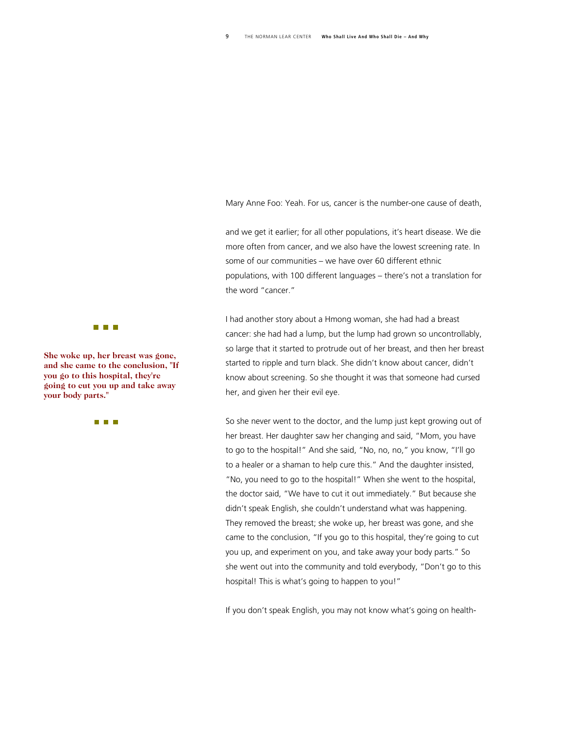Mary Anne Foo: Yeah. For us, cancer is the number-one cause of death,

and we get it earlier; for all other populations, it's heart disease. We die more often from cancer, and we also have the lowest screening rate. In some of our communities – we have over 60 different ethnic populations, with 100 different languages – there's not a translation for the word "cancer."

I had another story about a Hmong woman, she had had a breast cancer: she had had a lump, but the lump had grown so uncontrollably, so large that it started to protrude out of her breast, and then her breast started to ripple and turn black. She didn't know about cancer, didn't know about screening. So she thought it was that someone had cursed her, and given her their evil eye.

So she never went to the doctor, and the lump just kept growing out of her breast. Her daughter saw her changing and said, "Mom, you have to go to the hospital!" And she said, "No, no, no," you know, "I'll go to a healer or a shaman to help cure this." And the daughter insisted, "No, you need to go to the hospital!" When she went to the hospital, the doctor said, "We have to cut it out immediately." But because she didn't speak English, she couldn't understand what was happening. They removed the breast; she woke up, her breast was gone, and she came to the conclusion, "If you go to this hospital, they're going to cut you up, and experiment on you, and take away your body parts." So she went out into the community and told everybody, "Don't go to this hospital! This is what's going to happen to you!"

If you don't speak English, you may not know what's going on health-



**She woke up, her breast was gone, and she came to the conclusion, "If you go to this hospital, they' re going to cut you up and take away your body parts."**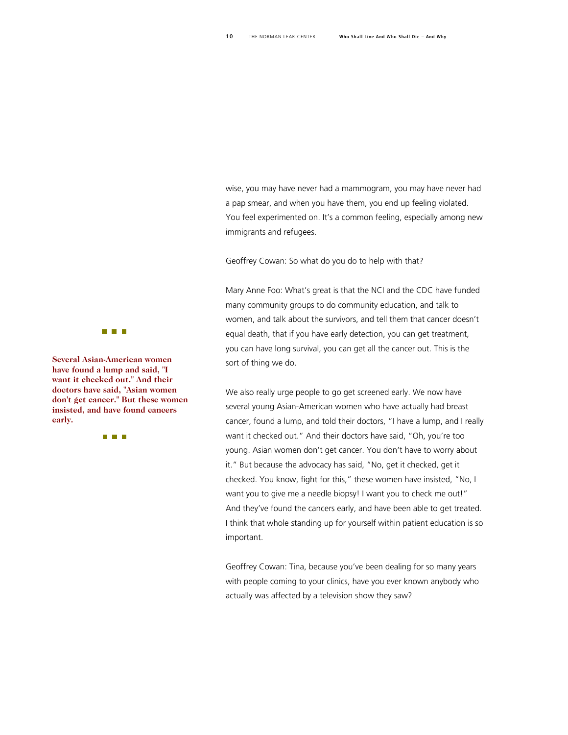wise, you may have never had a mammogram, you may have never had a pap smear, and when you have them, you end up feeling violated. You feel experimented on. It's a common feeling, especially among new immigrants and refugees.

Geoffrey Cowan: So what do you do to help with that?

Mary Anne Foo: What's great is that the NCI and the CDC have funded many community groups to do community education, and talk to women, and talk about the survivors, and tell them that cancer doesn't equal death, that if you have early detection, you can get treatment, you can have long survival, you can get all the cancer out. This is the sort of thing we do.

We also really urge people to go get screened early. We now have several young Asian-American women who have actually had breast cancer, found a lump, and told their doctors, "I have a lump, and I really want it checked out." And their doctors have said, "Oh, you're too young. Asian women don't get cancer. You don't have to worry about it." But because the advocacy has said, "No, get it checked, get it checked. You know, fight for this," these women have insisted, "No, I want you to give me a needle biopsy! I want you to check me out!" And they've found the cancers early, and have been able to get treated. I think that whole standing up for yourself within patient education is so important.

Geoffrey Cowan: Tina, because you've been dealing for so many years with people coming to your clinics, have you ever known anybody who actually was affected by a television show they saw?



**Several Asian-American women have found a lump and said, "I want it checked out." And their doctors have said, "Asian women don't get cancer." But these women insisted, and have found cancers early.**

n n n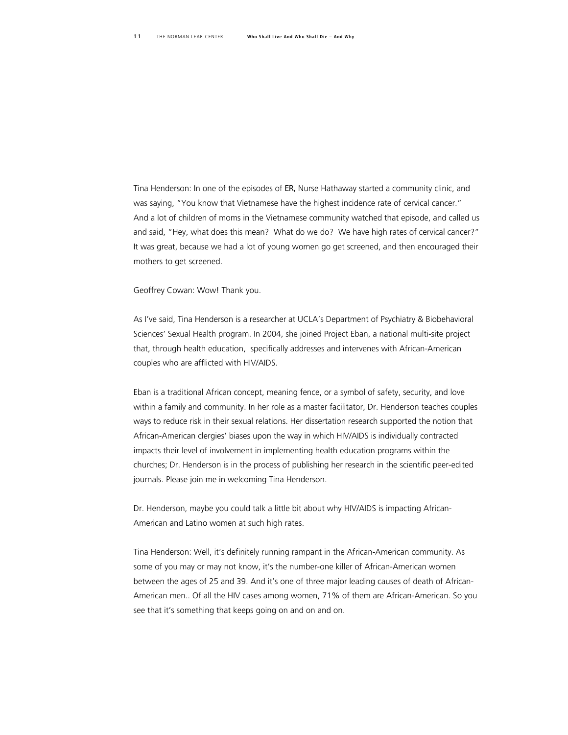Tina Henderson: In one of the episodes of *ER,* Nurse Hathaway started a community clinic, and was saying, "You know that Vietnamese have the highest incidence rate of cervical cancer." And a lot of children of moms in the Vietnamese community watched that episode, and called us and said, "Hey, what does this mean? What do we do? We have high rates of cervical cancer?" It was great, because we had a lot of young women go get screened, and then encouraged their mothers to get screened.

Geoffrey Cowan: Wow! Thank you.

As I've said, Tina Henderson is a researcher at UCLA's Department of Psychiatry & Biobehavioral Sciences' Sexual Health program. In 2004, she joined Project Eban, a national multi-site project that, through health education, specifically addresses and intervenes with African-American couples who are afflicted with HIV/AIDS.

Eban is a traditional African concept, meaning fence, or a symbol of safety, security, and love within a family and community. In her role as a master facilitator, Dr. Henderson teaches couples ways to reduce risk in their sexual relations. Her dissertation research supported the notion that African-American clergies' biases upon the way in which HIV/AIDS is individually contracted impacts their level of involvement in implementing health education programs within the churches; Dr. Henderson is in the process of publishing her research in the scientific peer-edited journals. Please join me in welcoming Tina Henderson.

Dr. Henderson, maybe you could talk a little bit about why HIV/AIDS is impacting African-American and Latino women at such high rates.

Tina Henderson: Well, it's definitely running rampant in the African-American community. As some of you may or may not know, it's the number-one killer of African-American women between the ages of 25 and 39. And it's one of three major leading causes of death of African-American men.. Of all the HIV cases among women, 71% of them are African-American. So you see that it's something that keeps going on and on and on.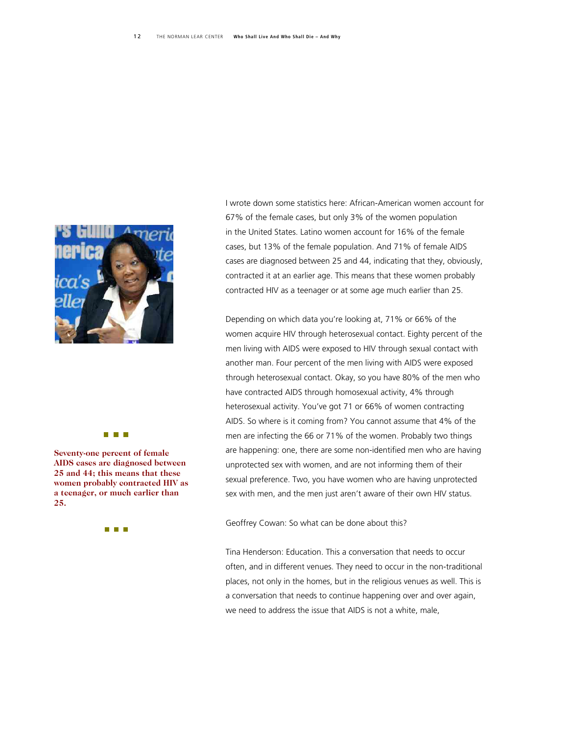

**Seventy-one percent of fema le AIDS cases are diagnosed be tween 25 and 44; this means that t hese women probably contracted s HIV a a teenager, or much earlier t han 25.** 

**The Common** 

I wrote down some statistics here: African-American women account for 67% of the female cases, but only 3% of the women population in the United States. Latino women account for 16% of the female cases, but 13% of the female population. And 71% of female AIDS cases are diagnosed between 25 and 44, indicating that they, obviously, contracted it at an earlier age. This means that these women probably contracted HIV as a teenager or at some age much earlier than 25.

Depending on which data you're looking at, 71% or 66% of the women acquire HIV through heterosexual contact. Eighty percent of the men living with AIDS were exposed to HIV through sexual contact with another man. Four percent of the men living with AIDS were exposed through heterosexual contact. Okay, so you have 80% of the men who have contracted AIDS through homosexual activity, 4% through heterosexual activity. You've got 71 or 66% of women contracting AIDS. So where is it coming from? You cannot assume that 4% of the men are infecting the 66 or 71% of the women. Probably two things are happening: one, there are some non-identified men who are having unprotected sex with women, and are not informing them of their sexual preference. Two, you have women who are having unprotected sex with men, and the men just aren't aware of their own HIV status.

Geoffrey Cowan: So what can be done about this?

Tina Henderson: Education. This a conversation that needs to occur often, and in different venues. They need to occur in the non-traditional places, not only in the homes, but in the religious venues as well. This is a conversation that needs to continue happening over and over again, we need to address the issue that AIDS is not a white, male,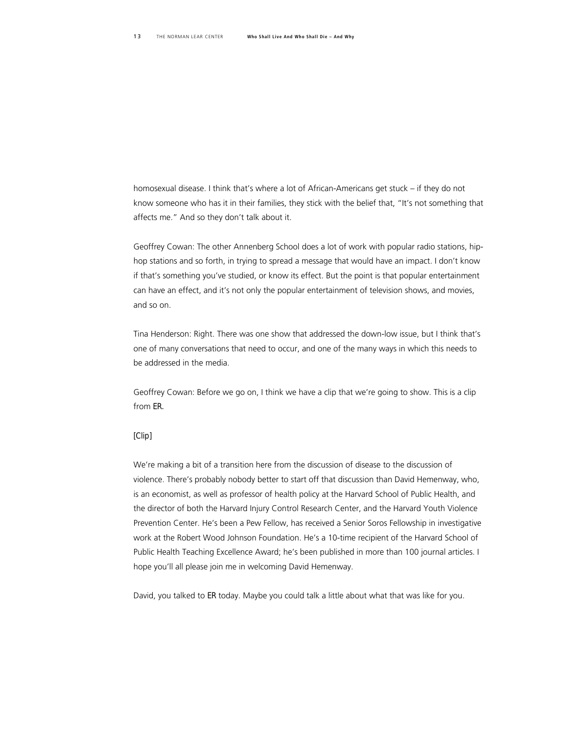homosexual disease. I think that's where a lot of African-Americans get stuck – if they do not know someone who has it in their families, they stick with the belief that, "It's not something that affects me." And so they don't talk about it.

Geoffrey Cowan: The other Annenberg School does a lot of work with popular radio stations, hiphop stations and so forth, in trying to spread a message that would have an impact. I don't know if that's something you've studied, or know its effect. But the point is that popular entertainment can have an effect, and it's not only the popular entertainment of television shows, and movies, and so on.

Tina Henderson: Right. There was one show that addressed the down-low issue, but I think that's one of many conversations that need to occur, and one of the many ways in which this needs to be addressed in the media.

Geoffrey Cowan: Before we go on, I think we have a clip that we're going to show. This is a clip from *ER.*

#### *[Clip]*

We're making a bit of a transition here from the discussion of disease to the discussion of violence. There's probably nobody better to start off that discussion than David Hemenway, who, is an economist, as well as professor of health policy at the Harvard School of Public Health, and the director of both the Harvard Injury Control Research Center, and the Harvard Youth Violence Prevention Center. He's been a Pew Fellow, has received a Senior Soros Fellowship in investigative work at the Robert Wood Johnson Foundation. He's a 10-time recipient of the Harvard School of Public Health Teaching Excellence Award; he's been published in more than 100 journal articles. I hope you'll all please join me in welcoming David Hemenway.

David, you talked to *ER* today. Maybe you could talk a little about what that was like for you.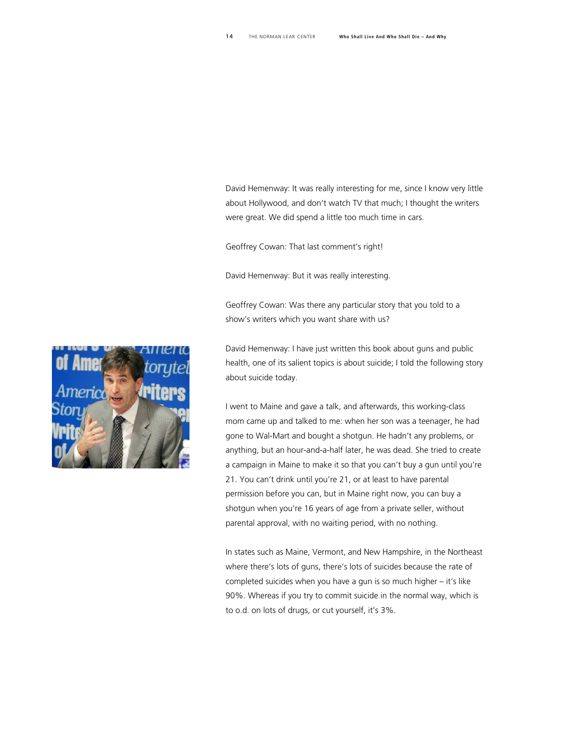David Hemenway: It was really interesting for me, since I know very little about Hollywood, and don't watch TV that much; I thought the writers were great. We did spend a little too much time in cars.

Geoffrey Cowan: That last comment's right!

David Hemenway: But it was really interesting.

Geoffrey Cowan: Was there any particular story that you told to a show's writers which you want share with us?

David Hemenway: I have just written this book about guns and public health, one of its salient topics is about suicide; I told the following story about suicide today.

I went to Maine and gave a talk, and afterwards, this working-class mom came up and talked to me: when her son was a teenager, he had gone to Wal-Mart and bought a shotgun. He hadn't any problems, or anything, but an hour-and-a-half later, he was dead. She tried to create a campaign in Maine to make it so that you can't buy a gun until you're 21. You can't drink until you're 21, or at least to have parental permission before you can, but in Maine right now, you can buy a shotgun when you're 16 years of age from a private seller, without parental approval, with no waiting period, with no nothing.

In states such as Maine, Vermont, and New Hampshire, in the Northeast where there's lots of guns, there's lots of suicides because the rate of completed suicides when you have a gun is so much higher – it's like 90%. Whereas if you try to commit suicide in the normal way, which is to o.d. on lots of drugs, or cut yourself, it's 3%.

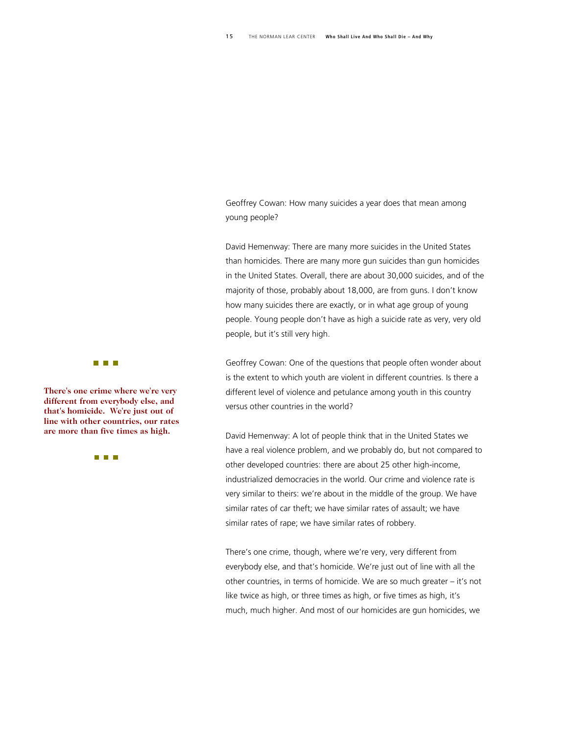Geoffrey Cowan: How many suicides a year does that mean among young people?

David Hemenway: There are many more suicides in the United States than homicides. There are many more gun suicides than gun homicides in the United States. Overall, there are about 30,000 suicides, and of the majority of those, probably about 18,000, are from guns. I don't know how many suicides there are exactly, or in what age group of young people. Young people don't have as high a suicide rate as very, very old people, but it's still very high.

Geoffrey Cowan: One of the questions that people often wonder about is the extent to which youth are violent in different countries. Is there a different level of violence and petulance among youth in this country versus other countries in the world?

David Hemenway: A lot of people think that in the United States we have a real violence problem, and we probably do, but not compared to other developed countries: there are about 25 other high-income, industrialized democracies in the world. Our crime and violence rate is very similar to theirs: we're about in the middle of the group. We have similar rates of car theft; we have similar rates of assault; we have similar rates of rape; we have similar rates of robbery.

There's one crime, though, where we're very, very different from everybody else, and that's homicide. We're just out of line with all the other countries, in terms of homicide. We are so much greater – it's not like twice as high, or three times as high, or five times as high, it's much, much higher. And most of our homicides are gun homicides, we



There's one crime where we're very **different from everybody else , and that's homicide. We're just o ut of line with other countries, our rates are more than five times as h igh.** 

**THE REAL**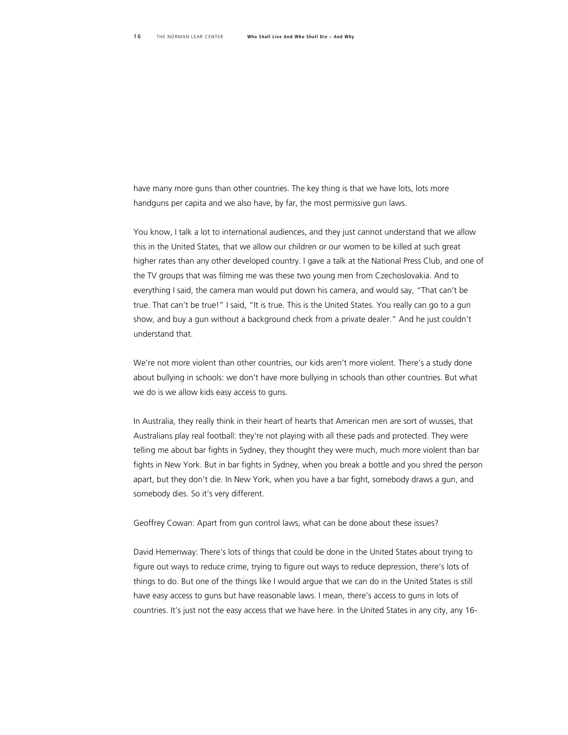have many more guns than other countries. The key thing is that we have lots, lots more handguns per capita and we also have, by far, the most permissive gun laws.

You know, I talk a lot to international audiences, and they just cannot understand that we allow this in the United States, that we allow our children or our women to be killed at such great higher rates than any other developed country. I gave a talk at the National Press Club, and one of the TV groups that was filming me was these two young men from Czechoslovakia. And to everything I said, the camera man would put down his camera, and would say, "That can't be true. That can't be true!" I said, "It is true. This is the United States. You really can go to a gun show, and buy a gun without a background check from a private dealer." And he just couldn't understand that.

We're not more violent than other countries, our kids aren't more violent. There's a study done about bullying in schools: we don't have more bullying in schools than other countries. But what we do is we allow kids easy access to guns.

In Australia, they really think in their heart of hearts that American men are sort of wusses, that Australians play real football: they're not playing with all these pads and protected. They were telling me about bar fights in Sydney, they thought they were much, much more violent than bar fights in New York. But in bar fights in Sydney, when you break a bottle and you shred the person apart, but they don't die. In New York, when you have a bar fight, somebody draws a gun, and somebody dies. So it's very different.

Geoffrey Cowan: Apart from gun control laws, what can be done about these issues?

David Hemenway: There's lots of things that could be done in the United States about trying to figure out ways to reduce crime, trying to figure out ways to reduce depression, there's lots of things to do. But one of the things like I would argue that we can do in the United States is still have easy access to guns but have reasonable laws. I mean, there's access to guns in lots of countries. It's just not the easy access that we have here. In the United States in any city, any 16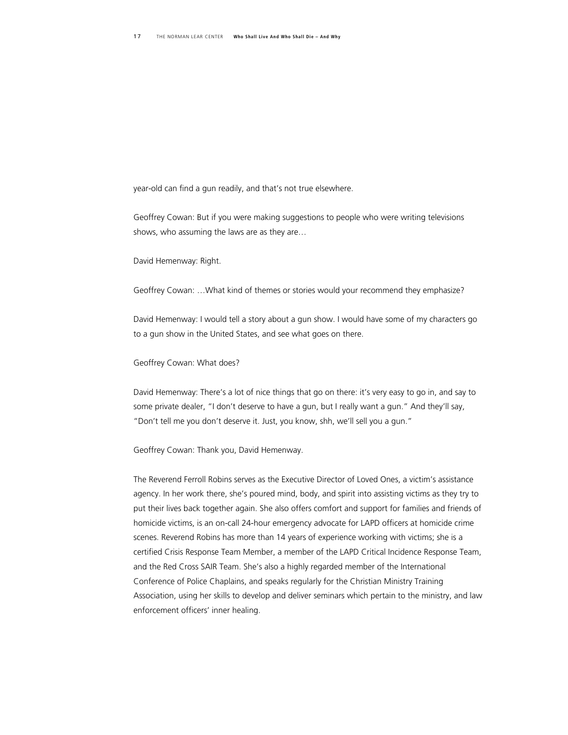year-old can find a gun readily, and that's not true elsewhere.

Geoffrey Cowan: But if you were making suggestions to people who were writing televisions shows, who assuming the laws are as they are…

David Hemenway: Right.

Geoffrey Cowan: …What kind of themes or stories would your recommend they emphasize?

David Hemenway: I would tell a story about a gun show. I would have some of my characters go to a gun show in the United States, and see what goes on there.

Geoffrey Cowan: What does?

David Hemenway: There's a lot of nice things that go on there: it's very easy to go in, and say to some private dealer, "I don't deserve to have a gun, but I really want a gun." And they'll say, "Don't tell me you don't deserve it. Just, you know, shh, we'll sell you a gun."

Geoffrey Cowan: Thank you, David Hemenway.

The Reverend Ferroll Robins serves as the Executive Director of Loved Ones, a victim's assistance agency. In her work there, she's poured mind, body, and spirit into assisting victims as they try to put their lives back together again. She also offers comfort and support for families and friends of homicide victims, is an on-call 24-hour emergency advocate for LAPD officers at homicide crime scenes. Reverend Robins has more than 14 years of experience working with victims; she is a certified Crisis Response Team Member, a member of the LAPD Critical Incidence Response Team, and the Red Cross SAIR Team. She's also a highly regarded member of the International Conference of Police Chaplains, and speaks regularly for the Christian Ministry Training Association, using her skills to develop and deliver seminars which pertain to the ministry, and law enforcement officers' inner healing.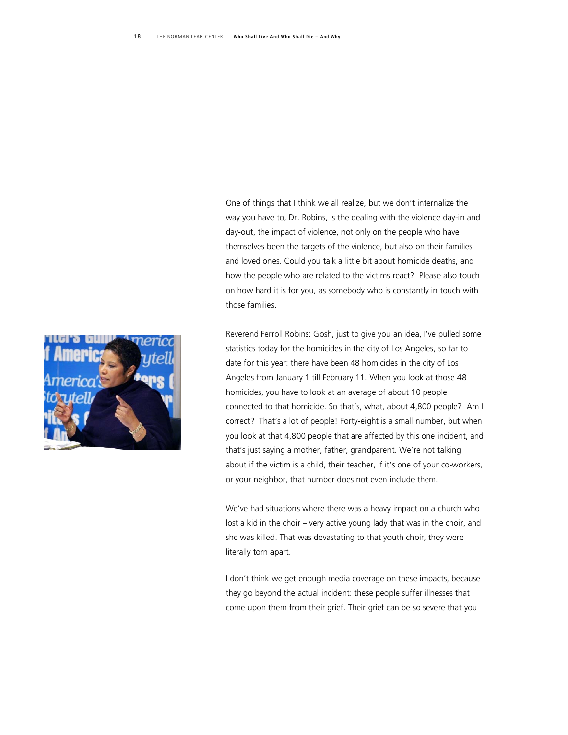One of things that I think we all realize, but we don't internalize the way you have to, Dr. Robins, is the dealing with the violence day-in and day-out, the impact of violence, not only on the people who have themselves been the targets of the violence, but also on their families and loved ones. Could you talk a little bit about homicide deaths, and how the people who are related to the victims react? Please also touch on how hard it is for you, as somebody who is constantly in touch with those families.

Reverend Ferroll Robins: Gosh, just to give you an idea, I've pulled some statistics today for the homicides in the city of Los Angeles, so far to date for this year: there have been 48 homicides in the city of Los Angeles from January 1 till February 11. When you look at those 48 homicides, you have to look at an average of about 10 people connected to that homicide. So that's, what, about 4,800 people? Am I correct? That's a lot of people! Forty-eight is a small number, but when you look at that 4,800 people that are affected by this one incident, and that's just saying a mother, father, grandparent. We're not talking about if the victim is a child, their teacher, if it's one of your co-workers, or your neighbor, that number does not even include them.

We've had situations where there was a heavy impact on a church who lost a kid in the choir – very active young lady that was in the choir, and she was killed. That was devastating to that youth choir, they were literally torn apart.

I don't think we get enough media coverage on these impacts, because they go beyond the actual incident: these people suffer illnesses that come upon them from their grief. Their grief can be so severe that you

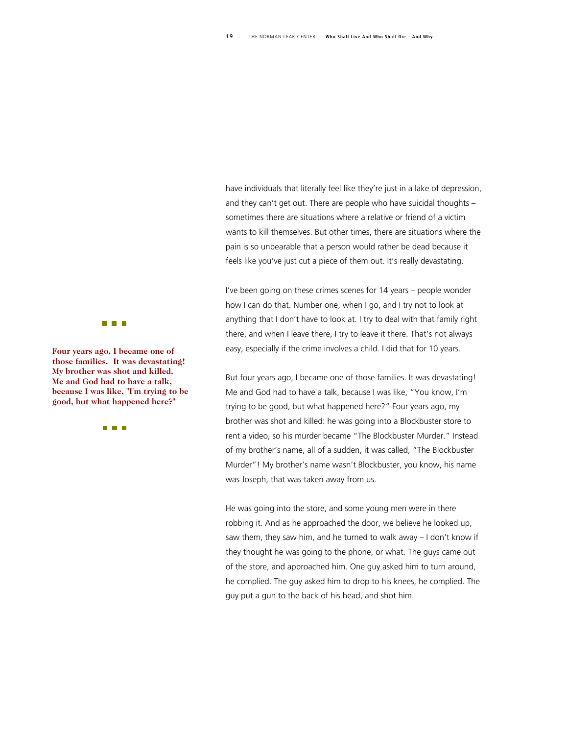have individuals that literally feel like they're just in a lake of depression, and they can't get out. There are people who have suicidal thoughts – sometimes there are situations where a relative or friend of a victim wants to kill themselves. But other times, there are situations where the pain is so unbearable that a person would rather be dead because it feels like you've just cut a piece of them out. It's really devastating.

I've been going on these crimes scenes for 14 years – people wonder how I can do that. Number one, when I go, and I try not to look at anything that I don't have to look at. I try to deal with that family right there, and when I leave there, I try to leave it there. That's not always easy, especially if the crime involves a child. I did that for 10 years.

But four years ago, I became one of those families. It was devastating! Me and God had to have a talk, because I was like, "You know, I'm trying to be good, but what happened here?" Four years ago, my brother was shot and killed: he was going into a Blockbuster store to rent a video, so his murder became "The Blockbuster Murder." Instead of my brother's name, all of a sudden, it was called, "The Blockbuster Murder"! My brother's name wasn't Blockbuster, you know, his name was Joseph, that was taken away from us.

He was going into the store, and some young men were in there robbing it. And as he approached the door, we believe he looked up, saw them, they saw him, and he turned to walk away – I don't know if they thought he was going to the phone, or what. The guys came out of the store, and approached him. One guy asked him to turn around, he complied. The guy asked him to drop to his knees, he complied. The guy put a gun to the back of his head, and shot him.



**Four years ago, I became on e of those families.** It was devastating! **My brother was shot and kill ed.**  Me and God had to have a talk, **because I** was like, "I'm trying to be **good, but what happened he re?"** 

**THE REAL**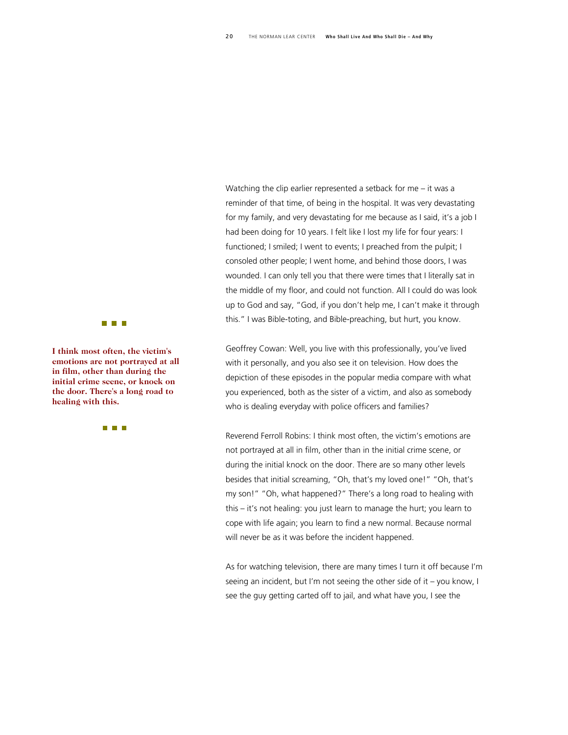Watching the clip earlier represented a setback for me – it was a reminder of that time, of being in the hospital. It was very devastating for my family, and very devastating for me because as I said, it's a job I had been doing for 10 years. I felt like I lost my life for four years: I functioned; I smiled; I went to events; I preached from the pulpit; I consoled other people; I went home, and behind those doors, I was wounded. I can only tell you that there were times that I literally sat in the middle of my floor, and could not function. All I could do was look up to God and say, "God, if you don't help me, I can't make it through this." I was Bible-toting, and Bible-preaching, but hurt, you know.

Geoffrey Cowan: Well, you live with this professionally, you've lived with it personally, and you also see it on television. How does the depiction of these episodes in the popular media compare with what you experienced, both as the sister of a victim, and also as somebody who is dealing everyday with police officers and families?

Reverend Ferroll Robins: I think most often, the victim's emotions are not portrayed at all in film, other than in the initial crime scene, or during the initial knock on the door. There are so many other levels besides that initial screaming, "Oh, that's my loved one!" "Oh, that's my son!" "Oh, what happened?" There's a long road to healing with this – it's not healing: you just learn to manage the hurt; you learn to cope with life again; you learn to find a new normal. Because normal will never be as it was before the incident happened.

As for watching television, there are many times I turn it off because I'm seeing an incident, but I'm not seeing the other side of it – you know, I see the guy getting carted off to jail, and what have you, I see the



**I think most often, the victim 's emotions are not portrayed at all in film, other than during th e initial crime scene, or knock on the door. There's a long road to healing with this.** 

**THE REAL**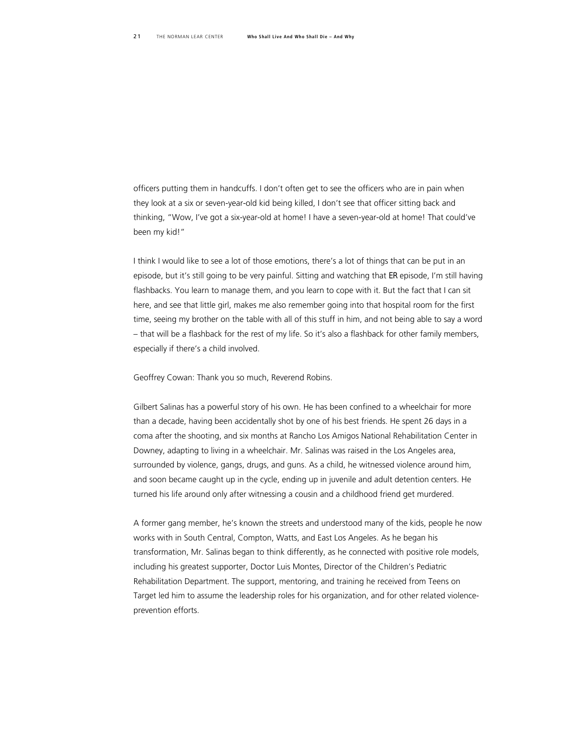officers putting them in handcuffs. I don't often get to see the officers who are in pain when they look at a six or seven-year-old kid being killed, I don't see that officer sitting back and thinking, "Wow, I've got a six-year-old at home! I have a seven-year-old at home! That could've been my kid!"

I think I would like to see a lot of those emotions, there's a lot of things that can be put in an episode, but it's still going to be very painful. Sitting and watching that *ER* episode, I'm still having flashbacks. You learn to manage them, and you learn to cope with it. But the fact that I can sit here, and see that little girl, makes me also remember going into that hospital room for the first time, seeing my brother on the table with all of this stuff in him, and not being able to say a word – that will be a flashback for the rest of my life. So it's also a flashback for other family members, especially if there's a child involved.

Geoffrey Cowan: Thank you so much, Reverend Robins.

Gilbert Salinas has a powerful story of his own. He has been confined to a wheelchair for more than a decade, having been accidentally shot by one of his best friends. He spent 26 days in a coma after the shooting, and six months at Rancho Los Amigos National Rehabilitation Center in Downey, adapting to living in a wheelchair. Mr. Salinas was raised in the Los Angeles area, surrounded by violence, gangs, drugs, and guns. As a child, he witnessed violence around him, and soon became caught up in the cycle, ending up in juvenile and adult detention centers. He turned his life around only after witnessing a cousin and a childhood friend get murdered.

A former gang member, he's known the streets and understood many of the kids, people he now works with in South Central, Compton, Watts, and East Los Angeles. As he began his transformation, Mr. Salinas began to think differently, as he connected with positive role models, including his greatest supporter, Doctor Luis Montes, Director of the Children's Pediatric Rehabilitation Department. The support, mentoring, and training he received from Teens on Target led him to assume the leadership roles for his organization, and for other related violenceprevention efforts.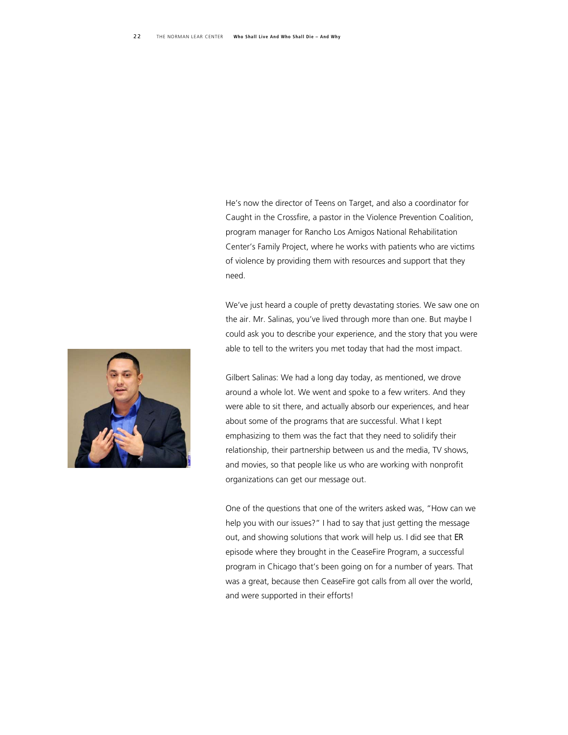He's now the director of Teens on Target, and also a coordinator for Caught in the Crossfire, a pastor in the Violence Prevention Coalition, program manager for Rancho Los Amigos National Rehabilitation Center's Family Project, where he works with patients who are victims of violence by providing them with resources and support that they need.

We've just heard a couple of pretty devastating stories. We saw one on the air. Mr. Salinas, you've lived through more than one. But maybe I could ask you to describe your experience, and the story that you were able to tell to the writers you met today that had the most impact.

Gilbert Salinas: We had a long day today, as mentioned, we drove around a whole lot. We went and spoke to a few writers. And they were able to sit there, and actually absorb our experiences, and hear about some of the programs that are successful. What I kept emphasizing to them was the fact that they need to solidify their relationship, their partnership between us and the media, TV shows, and movies, so that people like us who are working with nonprofit organizations can get our message out.

One of the questions that one of the writers asked was, "How can we help you with our issues?" I had to say that just getting the message out, and showing solutions that work will help us. I did see that *ER* episode where they brought in the CeaseFire Program, a successful program in Chicago that's been going on for a number of years. That was a great, because then CeaseFire got calls from all over the world, and were supported in their efforts!

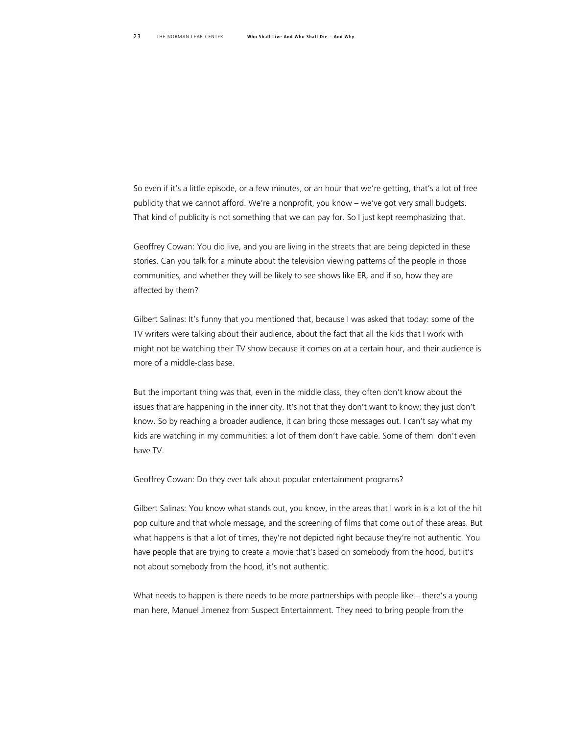So even if it's a little episode, or a few minutes, or an hour that we're getting, that's a lot of free publicity that we cannot afford. We're a nonprofit, you know – we've got very small budgets. That kind of publicity is not something that we can pay for. So I just kept reemphasizing that.

Geoffrey Cowan: You did live, and you are living in the streets that are being depicted in these stories. Can you talk for a minute about the television viewing patterns of the people in those communities, and whether they will be likely to see shows like *ER,* and if so, how they are affected by them?

Gilbert Salinas: It's funny that you mentioned that, because I was asked that today: some of the TV writers were talking about their audience, about the fact that all the kids that I work with might not be watching their TV show because it comes on at a certain hour, and their audience is more of a middle-class base.

But the important thing was that, even in the middle class, they often don't know about the issues that are happening in the inner city. It's not that they don't want to know; they just don't know. So by reaching a broader audience, it can bring those messages out. I can't say what my kids are watching in my communities: a lot of them don't have cable. Some of them don't even have TV.

Geoffrey Cowan: Do they ever talk about popular entertainment programs?

Gilbert Salinas: You know what stands out, you know, in the areas that I work in is a lot of the hit pop culture and that whole message, and the screening of films that come out of these areas. But what happens is that a lot of times, they're not depicted right because they're not authentic. You have people that are trying to create a movie that's based on somebody from the hood, but it's not about somebody from the hood, it's not authentic.

What needs to happen is there needs to be more partnerships with people like – there's a young man here, Manuel Jimenez from Suspect Entertainment. They need to bring people from the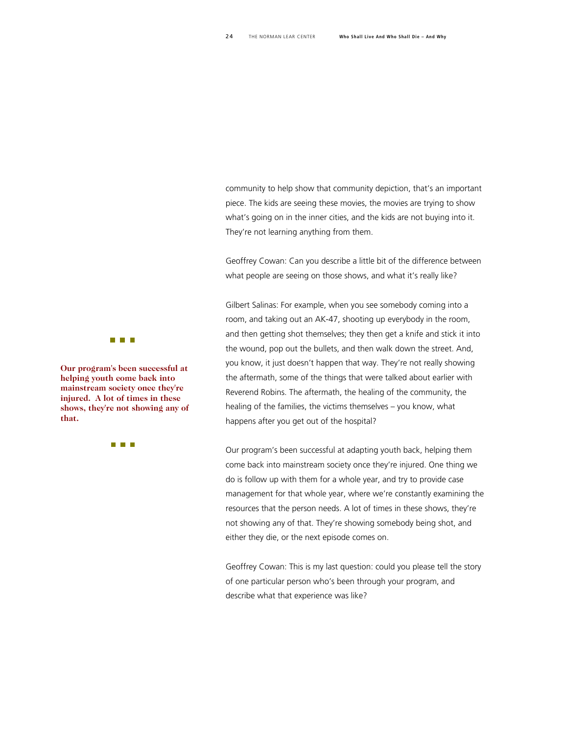community to help show that community depiction, that's an important piece. The kids are seeing these movies, the movies are trying to show what's going on in the inner cities, and the kids are not buying into it. They're not learning anything from them.

Geoffrey Cowan: Can you describe a little bit of the difference between what people are seeing on those shows, and what it's really like?

Gilbert Salinas: For example, when you see somebody coming into a room, and taking out an AK-47, shooting up everybody in the room, and then getting shot themselves; they then get a knife and stick it into the wound, pop out the bullets, and then walk down the street. And, you know, it just doesn't happen that way. They're not really showing the aftermath, some of the things that were talked about earlier with Reverend Robins. The aftermath, the healing of the community, the healing of the families, the victims themselves – you know, what happens after you get out of the hospital?

Our program's been successful at adapting youth back, helping them come back into mainstream society once they're injured. One thing we do is follow up with them for a whole year, and try to provide case management for that whole year, where we're constantly examining the resources that the person needs. A lot of times in these shows, they're not showing any of that. They're showing somebody being shot, and either they die, or the next episode comes on.

Geoffrey Cowan: This is my last question: could you please tell the story of one particular person who's been through your program, and describe what that experience was like?



**Our program's been successf ul at helping youth come back int o mainstream society once the y're injured. A lot of times in th ese shows, they're not showing a ny of that.** 

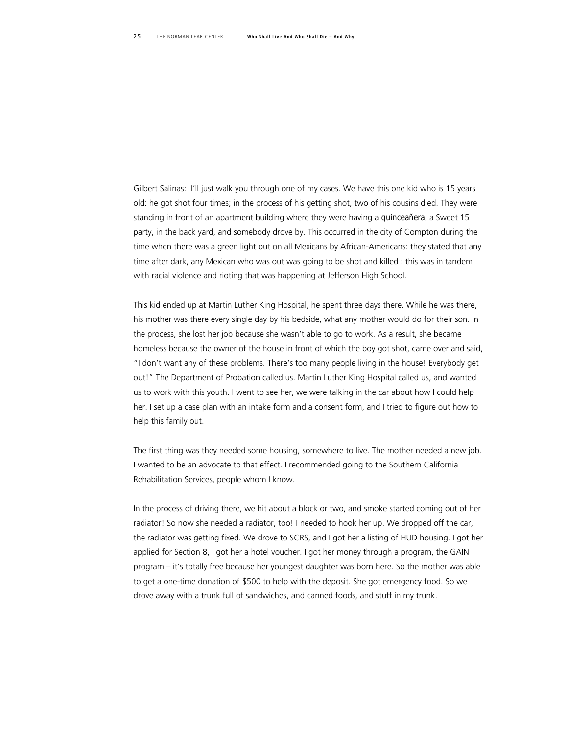Gilbert Salinas: I'll just walk you through one of my cases. We have this one kid who is 15 years old: he got shot four times; in the process of his getting shot, two of his cousins died. They were standing in front of an apartment building where they were having a *quinceañera,* a Sweet 15 party, in the back yard, and somebody drove by. This occurred in the city of Compton during the time when there was a green light out on all Mexicans by African-Americans: they stated that any time after dark, any Mexican who was out was going to be shot and killed : this was in tandem with racial violence and rioting that was happening at Jefferson High School.

This kid ended up at Martin Luther King Hospital, he spent three days there. While he was there, his mother was there every single day by his bedside, what any mother would do for their son. In the process, she lost her job because she wasn't able to go to work. As a result, she became homeless because the owner of the house in front of which the boy got shot, came over and said, "I don't want any of these problems. There's too many people living in the house! Everybody get out!" The Department of Probation called us. Martin Luther King Hospital called us, and wanted us to work with this youth. I went to see her, we were talking in the car about how I could help her. I set up a case plan with an intake form and a consent form, and I tried to figure out how to help this family out.

The first thing was they needed some housing, somewhere to live. The mother needed a new job. I wanted to be an advocate to that effect. I recommended going to the Southern California Rehabilitation Services, people whom I know.

In the process of driving there, we hit about a block or two, and smoke started coming out of her radiator! So now she needed a radiator, too! I needed to hook her up. We dropped off the car, the radiator was getting fixed. We drove to SCRS, and I got her a listing of HUD housing. I got her applied for Section 8, I got her a hotel voucher. I got her money through a program, the GAIN program – it's totally free because her youngest daughter was born here. So the mother was able to get a one-time donation of \$500 to help with the deposit. She got emergency food. So we drove away with a trunk full of sandwiches, and canned foods, and stuff in my trunk.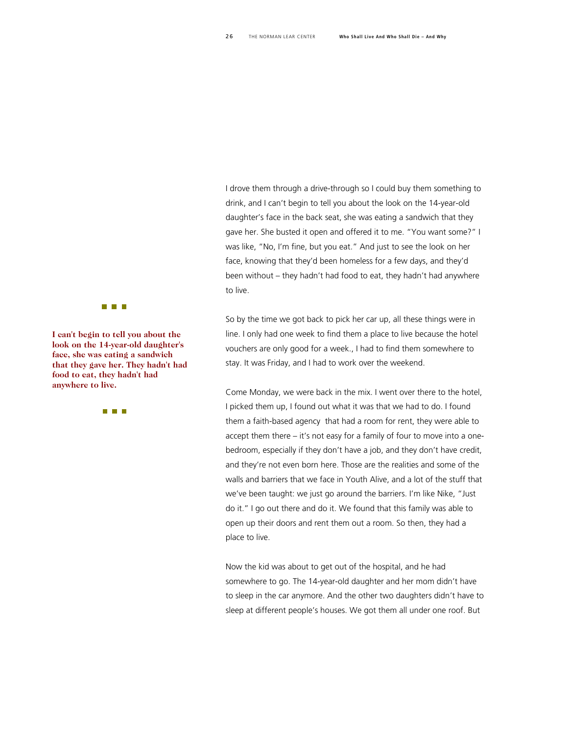I drove them through a drive-through so I could buy them something to drink, and I can't begin to tell you about the look on the 14-year-old daughter's face in the back seat, she was eating a sandwich that they gave her. She busted it open and offered it to me. "You want some?" I was like, "No, I'm fine, but you eat." And just to see the look on her face, knowing that they'd been homeless for a few days, and they'd been without – they hadn't had food to eat, they hadn't had anywhere to live.

So by the time we got back to pick her car up, all these things were in line. I only had one week to find them a place to live because the hotel vouchers are only good for a week., I had to find them somewhere to stay. It was Friday, and I had to work over the weekend.

Come Monday, we were back in the mix. I went over there to the hotel, I picked them up, I found out what it was that we had to do. I found them a faith-based agency that had a room for rent, they were able to accept them there – it's not easy for a family of four to move into a onebedroom, especially if they don't have a job, and they don't have credit, and they're not even born here. Those are the realities and some of the walls and barriers that we face in Youth Alive, and a lot of the stuff that we've been taught: we just go around the barriers. I'm like Nike, "Just do it." I go out there and do it. We found that this family was able to open up their doors and rent them out a room. So then, they had a place to live.

Now the kid was about to get out of the hospital, and he had somewhere to go. The 14-year-old daughter and her mom didn't have to sleep in the car anymore. And the other two daughters didn't have to sleep at different people's houses. We got them all under one roof. But



**I can't begin to tell you abou t the**  $\frac{1}{2}$  **look** on the 14-year-old daughter's **face, she was eating a sandw ich that they gave her. They hadn't had food to eat, they hadn't had anywhere to live.** 

**THE REAL**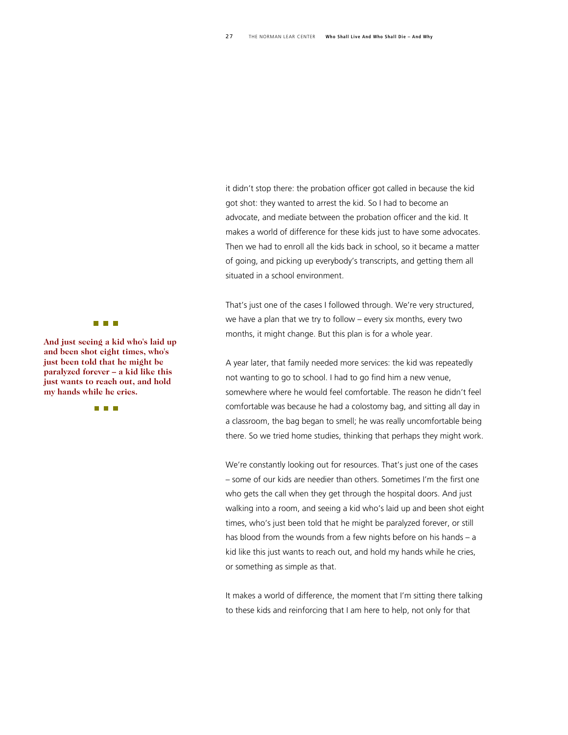it didn't stop there: the probation officer got called in because the kid got shot: they wanted to arrest the kid. So I had to become an advocate, and mediate between the probation officer and the kid. It makes a world of difference for these kids just to have some advocates. Then we had to enroll all the kids back in school, so it became a matter of going, and picking up everybody's transcripts, and getting them all situated in a school environment.

That's just one of the cases I followed through. We're very structured, we have a plan that we try to follow – every six months, every two months, it might change. But this plan is for a whole year.

A year later, that family needed more services: the kid was repeatedly not wanting to go to school. I had to go find him a new venue, somewhere where he would feel comfortable. The reason he didn't feel comfortable was because he had a colostomy bag, and sitting all day in a classroom, the bag began to smell; he was really uncomfortable being there. So we tried home studies, thinking that perhaps they might work.

We're constantly looking out for resources. That's just one of the cases – some of our kids are needier than others. Sometimes I'm the first one who gets the call when they get through the hospital doors. And just walking into a room, and seeing a kid who's laid up and been shot eight times, who's just been told that he might be paralyzed forever, or still has blood from the wounds from a few nights before on his hands – a kid like this just wants to reach out, and hold my hands while he cries, or something as simple as that.

It makes a world of difference, the moment that I'm sitting there talking to these kids and reinforcing that I am here to help, not only for that

#### **THE REAL**

**And just seeing a kid who's laid up and been shot eight times, w ho's just been told that he might be paralyzed forever – a kid like this just wants to reach out, and hold my hands while he cries.** 

**THE REAL**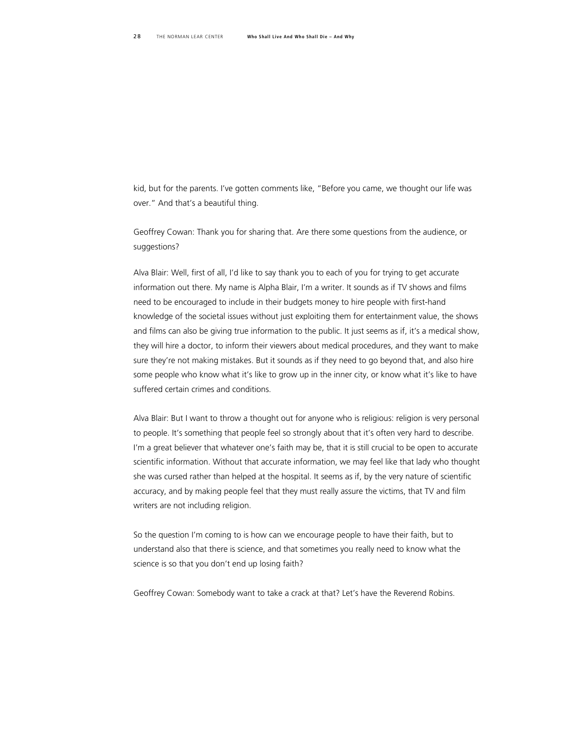kid, but for the parents. I've gotten comments like, "Before you came, we thought our life was over." And that's a beautiful thing.

Geoffrey Cowan: Thank you for sharing that. Are there some questions from the audience, or suggestions?

Alva Blair: Well, first of all, I'd like to say thank you to each of you for trying to get accurate information out there. My name is Alpha Blair, I'm a writer. It sounds as if TV shows and films need to be encouraged to include in their budgets money to hire people with first-hand knowledge of the societal issues without just exploiting them for entertainment value, the shows and films can also be giving true information to the public. It just seems as if, it's a medical show, they will hire a doctor, to inform their viewers about medical procedures, and they want to make sure they're not making mistakes. But it sounds as if they need to go beyond that, and also hire some people who know what it's like to grow up in the inner city, or know what it's like to have suffered certain crimes and conditions.

Alva Blair: But I want to throw a thought out for anyone who is religious: religion is very personal to people. It's something that people feel so strongly about that it's often very hard to describe. I'm a great believer that whatever one's faith may be, that it is still crucial to be open to accurate scientific information. Without that accurate information, we may feel like that lady who thought she was cursed rather than helped at the hospital. It seems as if, by the very nature of scientific accuracy, and by making people feel that they must really assure the victims, that TV and film writers are not including religion.

So the question I'm coming to is how can we encourage people to have their faith, but to understand also that there is science, and that sometimes you really need to know what the science is so that you don't end up losing faith?

Geoffrey Cowan: Somebody want to take a crack at that? Let's have the Reverend Robins.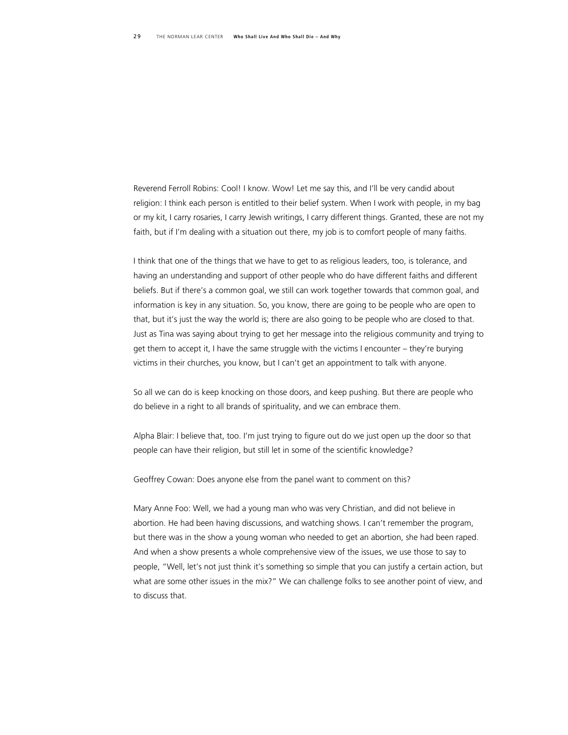Reverend Ferroll Robins: Cool! I know. Wow! Let me say this, and I'll be very candid about religion: I think each person is entitled to their belief system. When I work with people, in my bag or my kit, I carry rosaries, I carry Jewish writings, I carry different things. Granted, these are not my faith, but if I'm dealing with a situation out there, my job is to comfort people of many faiths.

I think that one of the things that we have to get to as religious leaders, too, is tolerance, and having an understanding and support of other people who do have different faiths and different beliefs. But if there's a common goal, we still can work together towards that common goal, and information is key in any situation. So, you know, there are going to be people who are open to that, but it's just the way the world is; there are also going to be people who are closed to that. Just as Tina was saying about trying to get her message into the religious community and trying to get them to accept it, I have the same struggle with the victims I encounter – they're burying victims in their churches, you know, but I can't get an appointment to talk with anyone.

So all we can do is keep knocking on those doors, and keep pushing. But there are people who do believe in a right to all brands of spirituality, and we can embrace them.

Alpha Blair: I believe that, too. I'm just trying to figure out do we just open up the door so that people can have their religion, but still let in some of the scientific knowledge?

Geoffrey Cowan: Does anyone else from the panel want to comment on this?

Mary Anne Foo: Well, we had a young man who was very Christian, and did not believe in abortion. He had been having discussions, and watching shows. I can't remember the program, but there was in the show a young woman who needed to get an abortion, she had been raped. And when a show presents a whole comprehensive view of the issues, we use those to say to people, "Well, let's not just think it's something so simple that you can justify a certain action, but what are some other issues in the mix?" We can challenge folks to see another point of view, and to discuss that.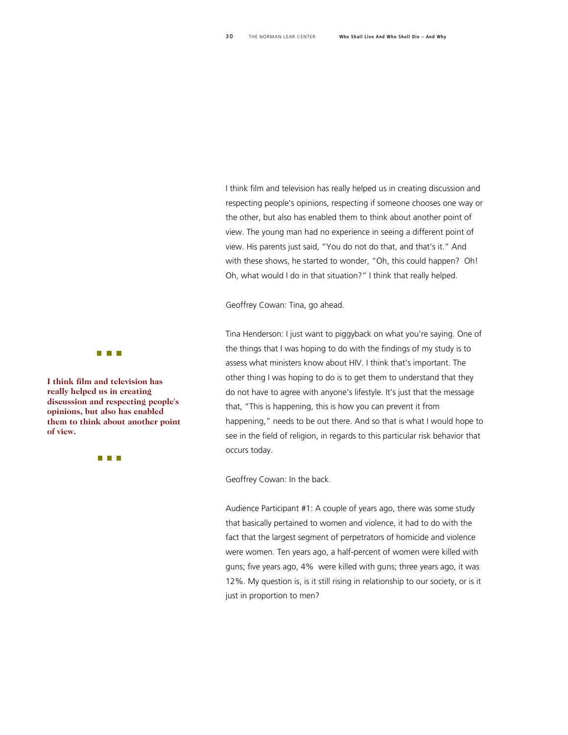I think film and television has really helped us in creating discussion and respecting people's opinions, respecting if someone chooses one way or the other, but also has enabled them to think about another point of view. The young man had no experience in seeing a different point of view. His parents just said, "You do not do that, and that's it." And with these shows, he started to wonder, "Oh, this could happen? Oh! Oh, what would I do in that situation?" I think that really helped.

Geoffrey Cowan: Tina, go ahead.

Tina Henderson: I just want to piggyback on what you're saying. One of the things that I was hoping to do with the findings of my study is to assess what ministers know about HIV. I think that's important. The other thing I was hoping to do is to get them to understand that they do not have to agree with anyone's lifestyle. It's just that the message that, "This is happening, this is how you can prevent it from happening," needs to be out there. And so that is what I would hope to see in the field of religion, in regards to this particular risk behavior that occurs today.

Geoffrey Cowan: In the back.

Audience Participant #1: A couple of years ago, there was some study that basically pertained to women and violence, it had to do with the fact that the largest segment of perpetrators of homicide and violence were women. Ten years ago, a half-percent of women were killed with guns; five years ago, 4% were killed with guns; three years ago, it was 12%. My question is, is it still rising in relationship to our society, or is it just in proportion to men?



**I think film and television ha s really helped us in creating discussion and respecting people's opinions, but also has enable d**  them to think about another point **of view.** 

**The Co**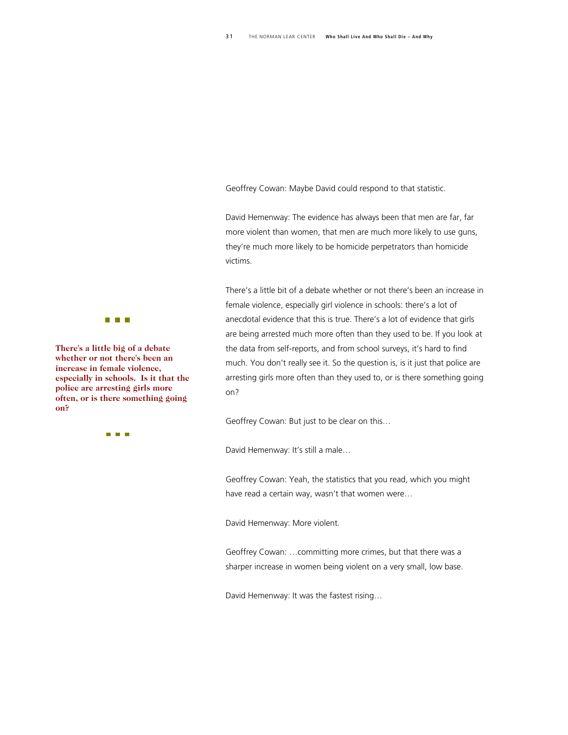Geoffrey Cowan: Maybe David could respond to that statistic.

David Hemenway: The evidence has always been that men are far, far more violent than women, that men are much more likely to use guns, they're much more likely to be homicide perpetrators than homicide victims.

There's a little bit of a debate whether or not there's been an increase in female violence, especially girl violence in schools: there's a lot of anecdotal evidence that this is true. There's a lot of evidence that girls are being arrested much more often than they used to be. If you look at the data from self-reports, and from school surveys, it's hard to find much. You don't really see it. So the question is, is it just that police are arresting girls more often than they used to, or is there something going on?

Geoffrey Cowan: But just to be clear on this…

David Hemenway: It's still a male…

Geoffrey Cowan: Yeah, the statistics that you read, which you might have read a certain way, wasn't that women were…

David Hemenway: More violent.

Geoffrey Cowan: …committing more crimes, but that there was a sharper increase in women being violent on a very small, low base.

David Hemenway: It was the fastest rising…



**There's a little big of a debate whether or not there's been an increase in female violence, especially in schools. Is it that the police are arresting girls more often, or is there something going on?** 

**TIME**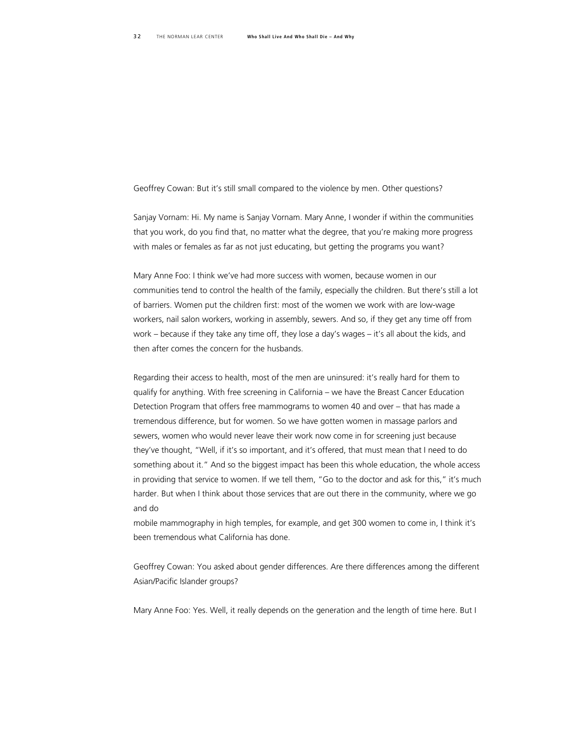Geoffrey Cowan: But it's still small compared to the violence by men. Other questions?

Sanjay Vornam: Hi. My name is Sanjay Vornam. Mary Anne, I wonder if within the communities that you work, do you find that, no matter what the degree, that you're making more progress with males or females as far as not just educating, but getting the programs you want?

Mary Anne Foo: I think we've had more success with women, because women in our communities tend to control the health of the family, especially the children. But there's still a lot of barriers. Women put the children first: most of the women we work with are low-wage workers, nail salon workers, working in assembly, sewers. And so, if they get any time off from work – because if they take any time off, they lose a day's wages – it's all about the kids, and then after comes the concern for the husbands.

Regarding their access to health, most of the men are uninsured: it's really hard for them to qualify for anything. With free screening in California – we have the Breast Cancer Education Detection Program that offers free mammograms to women 40 and over – that has made a tremendous difference, but for women. So we have gotten women in massage parlors and sewers, women who would never leave their work now come in for screening just because they've thought, "Well, if it's so important, and it's offered, that must mean that I need to do something about it." And so the biggest impact has been this whole education, the whole access in providing that service to women. If we tell them, "Go to the doctor and ask for this," it's much harder. But when I think about those services that are out there in the community, where we go and do

mobile mammography in high temples, for example, and get 300 women to come in, I think it's been tremendous what California has done.

Geoffrey Cowan: You asked about gender differences. Are there differences among the different Asian/Pacific Islander groups?

Mary Anne Foo: Yes. Well, it really depends on the generation and the length of time here. But I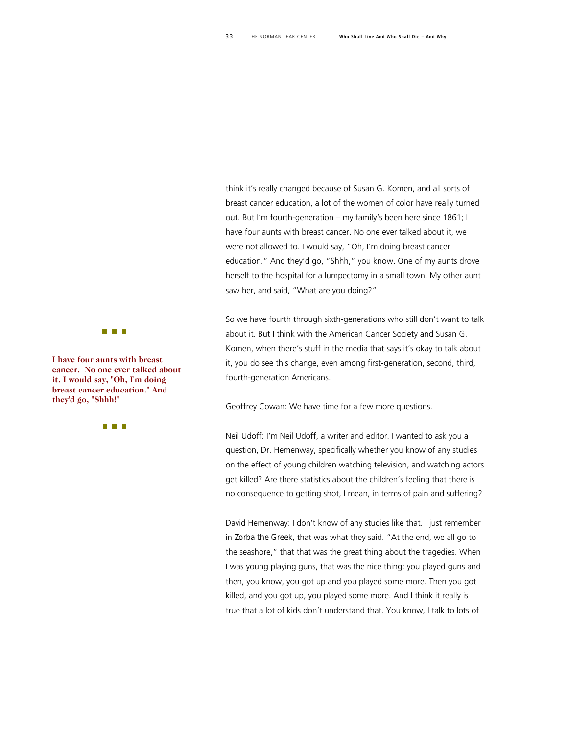think it's really changed because of Susan G. Komen, and all sorts of breast cancer education, a lot of the women of color have really turned out. But I'm fourth-generation – my family's been here since 1861; I have four aunts with breast cancer. No one ever talked about it, we were not allowed to. I would say, "Oh, I'm doing breast cancer education." And they'd go, "Shhh," you know. One of my aunts drove herself to the hospital for a lumpectomy in a small town. My other aunt saw her, and said, "What are you doing?"

So we have fourth through sixth-generations who still don't want to talk about it. But I think with the American Cancer Society and Susan G. Komen, when there's stuff in the media that says it's okay to talk about it, you do see this change, even among first-generation, second, third, fourth-generation Americans.

Geoffrey Cowan: We have time for a few more questions.

Neil Udoff: I'm Neil Udoff, a writer and editor. I wanted to ask you a question, Dr. Hemenway, specifically whether you know of any studies on the effect of young children watching television, and watching actors get killed? Are there statistics about the children's feeling that there is no consequence to getting shot, I mean, in terms of pain and suffering?

David Hemenway: I don't know of any studies like that. I just remember in *Zorba the Greek*, that was what they said. "At the end, we all go to the seashore," that that was the great thing about the tragedies. When I was young playing guns, that was the nice thing: you played guns and then, you know, you got up and you played some more. Then you got killed, and you got up, you played some more. And I think it really is true that a lot of kids don't understand that. You know, I talk to lots of

**The Company** 

**I have four aunts with breast cancer. No one ever talked a bout it. I would say, "Oh, I'm doin g breast cancer education." An d they'd go, "Shhh!"** 

n n n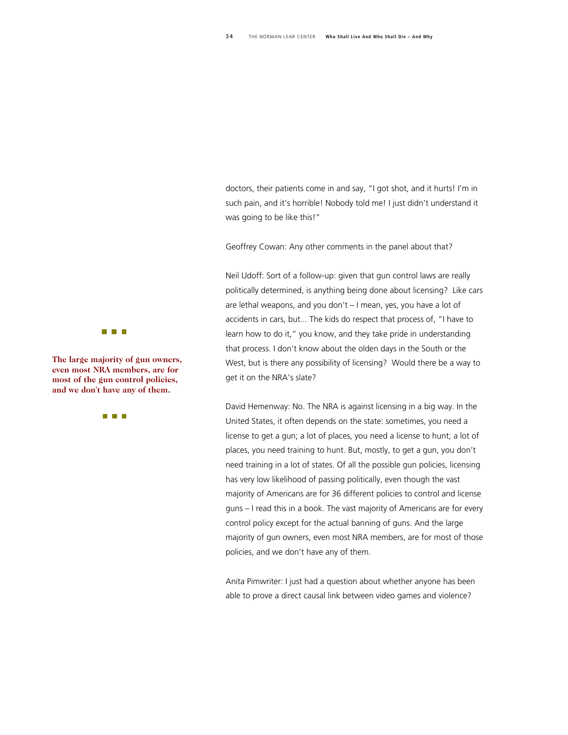doctors, their patients come in and say, "I got shot, and it hurts! I'm in such pain, and it's horrible! Nobody told me! I just didn't understand it was going to be like this!"

Geoffrey Cowan: Any other comments in the panel about that?

Neil Udoff: Sort of a follow-up: given that gun control laws are really politically determined, is anything being done about licensing? Like cars are lethal weapons, and you don't – I mean, yes, you have a lot of accidents in cars, but... The kids do respect that process of, "I have to learn how to do it," you know, and they take pride in understanding that process. I don't know about the olden days in the South or the West, but is there any possibility of licensing? Would there be a way to get it on the NRA's slate?

David Hemenway: No. The NRA is against licensing in a big way. In the United States, it often depends on the state: sometimes, you need a license to get a gun; a lot of places, you need a license to hunt; a lot of places, you need training to hunt. But, mostly, to get a gun, you don't need training in a lot of states. Of all the possible gun policies, licensing has very low likelihood of passing politically, even though the vast majority of Americans are for 36 different policies to control and license guns – I read this in a book. The vast majority of Americans are for every control policy except for the actual banning of guns. And the large majority of gun owners, even most NRA members, are for most of those policies, and we don't have any of them.

Anita Pimwriter: I just had a question about whether anyone has been able to prove a direct causal link between video games and violence?



**The large majority of gun ow ners, even most NRA members, ar e for most of the gun control poli cies, and we don't have any of the m.**

**THE REAL**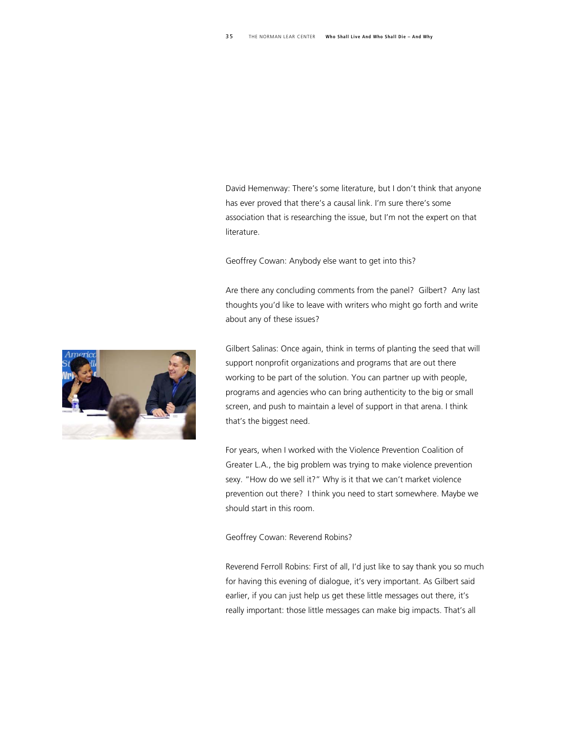David Hemenway: There's some literature, but I don't think that anyone has ever proved that there's a causal link. I'm sure there's some association that is researching the issue, but I'm not the expert on that literature.

Geoffrey Cowan: Anybody else want to get into this?

Are there any concluding comments from the panel? Gilbert? Any last thoughts you'd like to leave with writers who might go forth and write about any of these issues?



For years, when I worked with the Violence Prevention Coalition of Greater L.A., the big problem was trying to make violence prevention sexy. "How do we sell it?" Why is it that we can't market violence prevention out there? I think you need to start somewhere. Maybe we should start in this room.

#### Geoffrey Cowan: Reverend Robins?

Reverend Ferroll Robins: First of all, I'd just like to say thank you so much for having this evening of dialogue, it's very important. As Gilbert said earlier, if you can just help us get these little messages out there, it's really important: those little messages can make big impacts. That's all

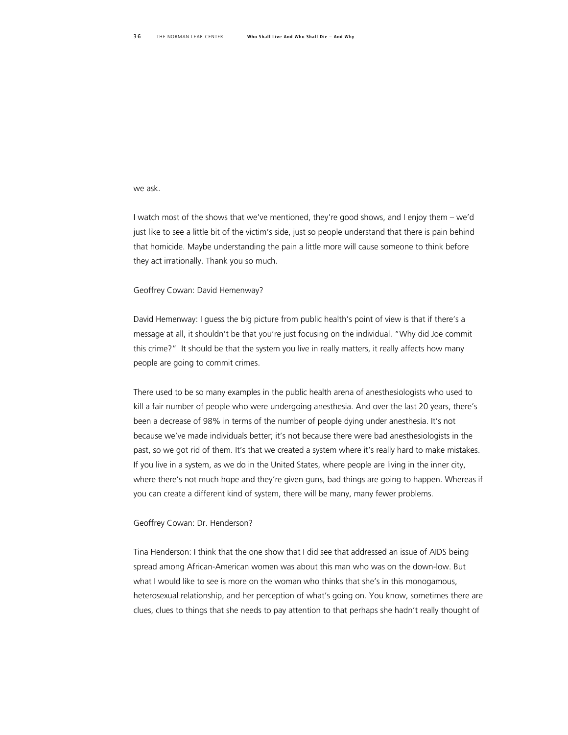#### we ask.

I watch most of the shows that we've mentioned, they're good shows, and I enjoy them – we'd just like to see a little bit of the victim's side, just so people understand that there is pain behind that homicide. Maybe understanding the pain a little more will cause someone to think before they act irrationally. Thank you so much.

#### Geoffrey Cowan: David Hemenway?

David Hemenway: I guess the big picture from public health's point of view is that if there's a message at all, it shouldn't be that you're just focusing on the individual. "Why did Joe commit this crime?" It should be that the system you live in really matters, it really affects how many people are going to commit crimes.

There used to be so many examples in the public health arena of anesthesiologists who used to kill a fair number of people who were undergoing anesthesia. And over the last 20 years, there's been a decrease of 98% in terms of the number of people dying under anesthesia. It's not because we've made individuals better; it's not because there were bad anesthesiologists in the past, so we got rid of them. It's that we created a system where it's really hard to make mistakes. If you live in a system, as we do in the United States, where people are living in the inner city, where there's not much hope and they're given guns, bad things are going to happen. Whereas if you can create a different kind of system, there will be many, many fewer problems.

#### Geoffrey Cowan: Dr. Henderson?

Tina Henderson: I think that the one show that I did see that addressed an issue of AIDS being spread among African-American women was about this man who was on the down-low. But what I would like to see is more on the woman who thinks that she's in this monogamous, heterosexual relationship, and her perception of what's going on. You know, sometimes there are clues, clues to things that she needs to pay attention to that perhaps she hadn't really thought of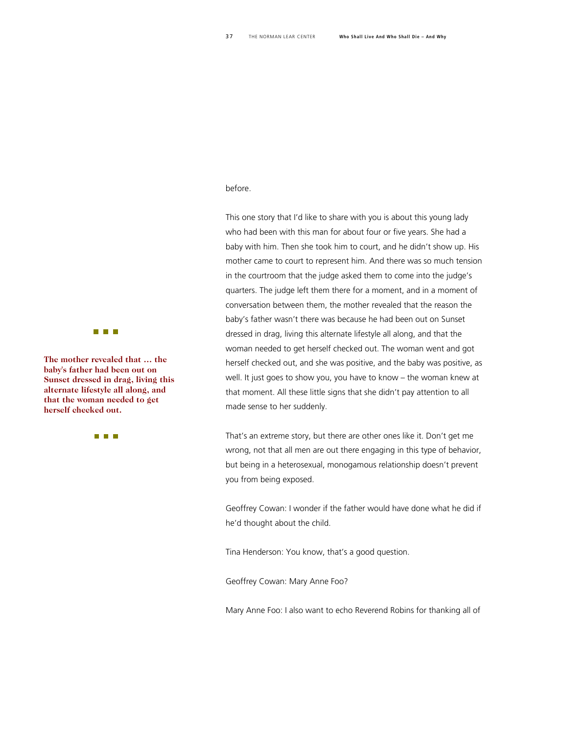#### before.

This one story that I'd like to share with you is about this young lady who had been with this man for about four or five years. She had a baby with him. Then she took him to court, and he didn't show up. His mother came to court to represent him. And there was so much tension in the courtroom that the judge asked them to come into the judge's quarters. The judge left them there for a moment, and in a moment of conversation between them, the mother revealed that the reason the baby's father wasn't there was because he had been out on Sunset dressed in drag, living this alternate lifestyle all along, and that the woman needed to get herself checked out. The woman went and got herself checked out, and she was positive, and the baby was positive, as well. It just goes to show you, you have to know – the woman knew at that moment. All these little signs that she didn't pay attention to all made sense to her suddenly.

That's an extreme story, but there are other ones like it. Don't get me wrong, not that all men are out there engaging in this type of behavior, but being in a heterosexual, monogamous relationship doesn't prevent you from being exposed.

Geoffrey Cowan: I wonder if the father would have done what he did if he'd thought about the child.

Tina Henderson: You know, that's a good question.

Geoffrey Cowan: Mary Anne Foo?

Mary Anne Foo: I also want to echo Reverend Robins for thanking all of

**The Company** 

**The mother revealed that … the baby's father had been out o n Sunset dressed in drag, livin g this alternate lifestyle all along, and that the woman needed to g et herself checked out.** 

**The College**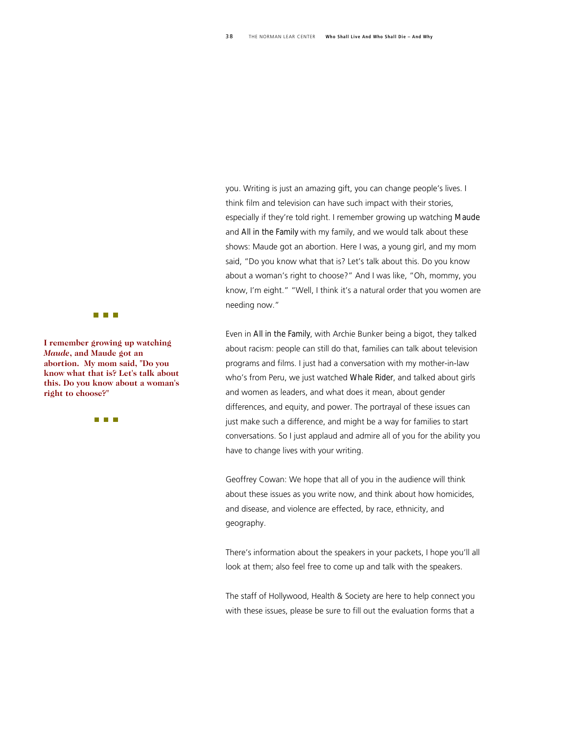you. Writing is just an amazing gift, you can change people's lives. I think film and television can have such impact with their stories, especially if they're told right. I remember growing up watching *Maude*  and *All in the Family* with my family, and we would talk about these shows: Maude got an abortion. Here I was, a young girl, and my mom said, "Do you know what that is? Let's talk about this. Do you know about a woman's right to choose?" And I was like, "Oh, mommy, you know, I'm eight." "Well, I think it's a natural order that you women are needing now."

Even in *All in the Family*, with Archie Bunker being a bigot, they talked about racism: people can still do that, families can talk about television programs and films. I just had a conversation with my mother-in-law who's from Peru, we just watched *Whale Rider*, and talked about girls and women as leaders, and what does it mean, about gender differences, and equity, and power. The portrayal of these issues can just make such a difference, and might be a way for families to start conversations. So I just applaud and admire all of you for the ability you have to change lives with your writing.

Geoffrey Cowan: We hope that all of you in the audience will think about these issues as you write now, and think about how homicides, and disease, and violence are effected, by race, ethnicity, and geography.

There's information about the speakers in your packets, I hope you'll all look at them; also feel free to come up and talk with the speakers.

The staff of Hollywood, Health & Society are here to help connect you with these issues, please be sure to fill out the evaluation forms that a



**I remember growing up watc hing**  *Maude***, and Maude got an abortion. My mom said, "Do you know what that is? Let's talk t abou this. Do you know about a woman's right to choose?"** 

**The College**